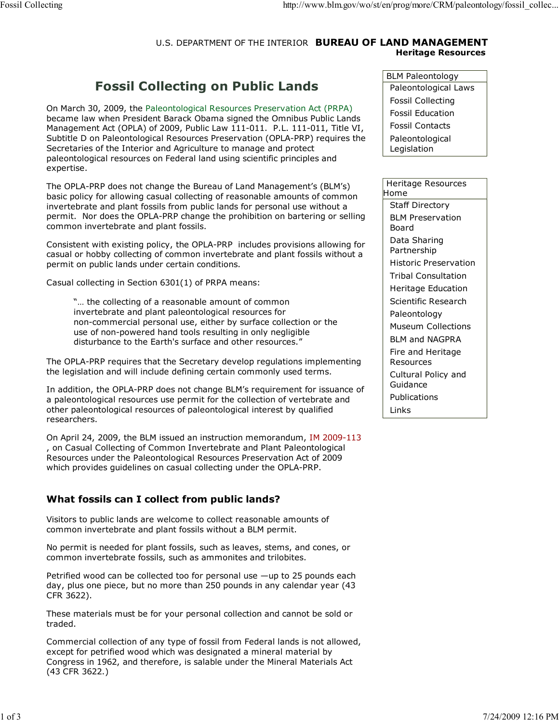### U.S. DEPARTMENT OF THE INTERIOR **BUREAU OF LAND MANAGEMENT Heritage Resources**

# **Fossil Collecting on Public Lands**

On March 30, 2009, the Paleontological Resources Preservation Act (PRPA) became law when President Barack Obama signed the Omnibus Public Lands Management Act (OPLA) of 2009, Public Law 111-011. P.L. 111-011, Title VI, Subtitle D on Paleontological Resources Preservation (OPLA-PRP) requires the Secretaries of the Interior and Agriculture to manage and protect paleontological resources on Federal land using scientific principles and expertise.

The OPLA-PRP does not change the Bureau of Land Management's (BLM's) basic policy for allowing casual collecting of reasonable amounts of common invertebrate and plant fossils from public lands for personal use without a permit. Nor does the OPLA-PRP change the prohibition on bartering or selling common invertebrate and plant fossils.

Consistent with existing policy, the OPLA-PRP includes provisions allowing for casual or hobby collecting of common invertebrate and plant fossils without a permit on public lands under certain conditions.

Casual collecting in Section 6301(1) of PRPA means:

"… the collecting of a reasonable amount of common invertebrate and plant paleontological resources for non-commercial personal use, either by surface collection or the use of non-powered hand tools resulting in only negligible disturbance to the Earth's surface and other resources."

The OPLA-PRP requires that the Secretary develop regulations implementing the legislation and will include defining certain commonly used terms.

In addition, the OPLA-PRP does not change BLM's requirement for issuance of a paleontological resources use permit for the collection of vertebrate and other paleontological resources of paleontological interest by qualified researchers.

On April 24, 2009, the BLM issued an instruction memorandum, IM 2009-113 , on Casual Collecting of Common Invertebrate and Plant Paleontological Resources under the Paleontological Resources Preservation Act of 2009 which provides guidelines on casual collecting under the OPLA-PRP.

## **What fossils can I collect from public lands?**

Visitors to public lands are welcome to collect reasonable amounts of common invertebrate and plant fossils without a BLM permit.

No permit is needed for plant fossils, such as leaves, stems, and cones, or common invertebrate fossils, such as ammonites and trilobites.

Petrified wood can be collected too for personal use —up to 25 pounds each day, plus one piece, but no more than 250 pounds in any calendar year (43 CFR 3622).

These materials must be for your personal collection and cannot be sold or traded.

Commercial collection of any type of fossil from Federal lands is not allowed, except for petrified wood which was designated a mineral material by Congress in 1962, and therefore, is salable under the Mineral Materials Act (43 CFR 3622.)

BLM Paleontology Paleontological Laws Fossil Collecting Fossil Education Fossil Contacts Paleontological Legislation

| Heritage Resources              |
|---------------------------------|
| Home                            |
| <b>Staff Directory</b>          |
| BI M Preservation<br>Board      |
| Data Sharing<br>Partnership     |
| <b>Historic Preservation</b>    |
| <b>Tribal Consultation</b>      |
| Heritage Education              |
| Scientific Research             |
| Paleontology                    |
| Museum Collections              |
| <b>BLM and NAGPRA</b>           |
| Fire and Heritage<br>Resources  |
| Cultural Policy and<br>Guidance |
| Publications                    |
| Links                           |
|                                 |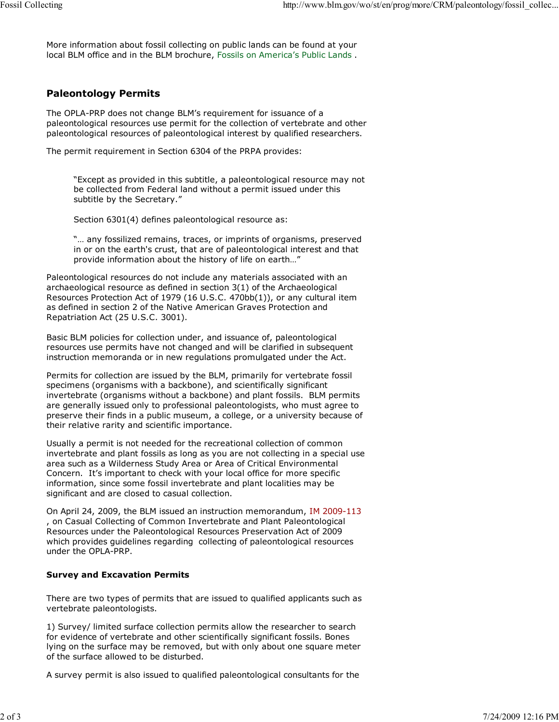More information about fossil collecting on public lands can be found at your local BLM office and in the BLM brochure, Fossils on America's Public Lands .

## **Paleontology Permits**

The OPLA-PRP does not change BLM's requirement for issuance of a paleontological resources use permit for the collection of vertebrate and other paleontological resources of paleontological interest by qualified researchers.

The permit requirement in Section 6304 of the PRPA provides:

"Except as provided in this subtitle, a paleontological resource may not be collected from Federal land without a permit issued under this subtitle by the Secretary."

Section 6301(4) defines paleontological resource as:

"… any fossilized remains, traces, or imprints of organisms, preserved in or on the earth's crust, that are of paleontological interest and that provide information about the history of life on earth…"

Paleontological resources do not include any materials associated with an archaeological resource as defined in section 3(1) of the Archaeological Resources Protection Act of 1979 (16 U.S.C. 470bb(1)), or any cultural item as defined in section 2 of the Native American Graves Protection and Repatriation Act (25 U.S.C. 3001).

Basic BLM policies for collection under, and issuance of, paleontological resources use permits have not changed and will be clarified in subsequent instruction memoranda or in new regulations promulgated under the Act.

Permits for collection are issued by the BLM, primarily for vertebrate fossil specimens (organisms with a backbone), and scientifically significant invertebrate (organisms without a backbone) and plant fossils. BLM permits are generally issued only to professional paleontologists, who must agree to preserve their finds in a public museum, a college, or a university because of their relative rarity and scientific importance.

Usually a permit is not needed for the recreational collection of common invertebrate and plant fossils as long as you are not collecting in a special use area such as a Wilderness Study Area or Area of Critical Environmental Concern. It's important to check with your local office for more specific information, since some fossil invertebrate and plant localities may be significant and are closed to casual collection.

On April 24, 2009, the BLM issued an instruction memorandum, IM 2009-113 , on Casual Collecting of Common Invertebrate and Plant Paleontological Resources under the Paleontological Resources Preservation Act of 2009 which provides guidelines regarding collecting of paleontological resources under the OPLA-PRP.

### **Survey and Excavation Permits**

There are two types of permits that are issued to qualified applicants such as vertebrate paleontologists.

1) Survey/ limited surface collection permits allow the researcher to search for evidence of vertebrate and other scientifically significant fossils. Bones lying on the surface may be removed, but with only about one square meter of the surface allowed to be disturbed.

A survey permit is also issued to qualified paleontological consultants for the